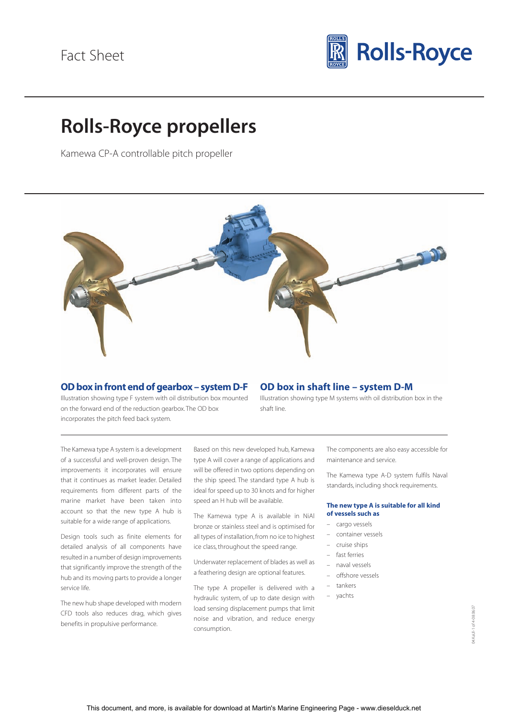

# **Rolls-Royce propellers**

Kamewa CP-A controllable pitch propeller



### **OD box in front end of gearbox – system D-F**

Illustration showing type F system with oil distribution box mounted on the forward end of the reduction gearbox. The OD box incorporates the pitch feed back system.

## **OD box in shaft line – system D-M**

Illustration showing type M systems with oil distribution box in the shaft line.

The Kamewa type A system is a development of a successful and well-proven design. The improvements it incorporates will ensure that it continues as market leader. Detailed requirements from different parts of the marine market have been taken into account so that the new type A hub is suitable for a wide range of applications.

Design tools such as finite elements for detailed analysis of all components have resulted in a number of design improvements that significantly improve the strength of the hub and its moving parts to provide a longer service life.

The new hub shape developed with modern CFD tools also reduces drag, which gives benefits in propulsive performance.

Based on this new developed hub, Kamewa type A will cover a range of applications and will be offered in two options depending on the ship speed. The standard type A hub is ideal for speed up to 30 knots and for higher speed an H hub will be available.

The Kamewa type A is available in NiAl bronze or stainless steel and is optimised for all types of installation, from no ice to highest ice class, throughout the speed range.

Underwater replacement of blades as well as a feathering design are optional features.

The type A propeller is delivered with a hydraulic system, of up to date design with load sensing displacement pumps that limit noise and vibration, and reduce energy consumption.

The components are also easy accessible for maintenance and service.

The Kamewa type A-D system fulfils Naval standards, including shock requirements.

#### **The new type A is suitable for all kind of vessels such as**

- cargo vessels
- container vessels
- cruise ships
- fast ferries
- naval vessels
- offshore vessels
- tankers
- yachts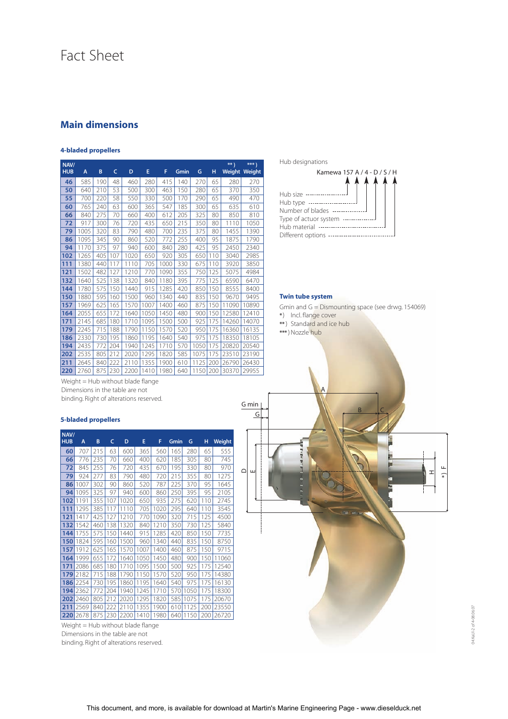## Fact Sheet

## **Main dimensions**

#### **4-bladed propellers**

| NAV/<br><b>HUB</b> | A    | B   | C   | D    | E    | F    | Gmin | G    | н   | $**$<br>Weight | *** )<br>Weight |
|--------------------|------|-----|-----|------|------|------|------|------|-----|----------------|-----------------|
| 46                 | 585  | 190 | 48  | 460  | 280  | 415  | 140  | 270  | 65  | 280            | 270             |
| 50                 | 640  | 210 | 53  | 500  | 300  | 463  | 150  | 280  | 65  | 370            | 350             |
| 55                 | 700  | 220 | 58  | 550  | 330  | 500  | 170  | 290  | 65  | 490            | 470             |
| 60                 | 765  | 240 | 63  | 600  | 365  | 547  | 185  | 300  | 65  | 635            | 610             |
| 66                 | 840  | 275 | 70  | 660  | 400  | 612  | 205  | 325  | 80  | 850            | 810             |
| 72                 | 917  | 300 | 76  | 720  | 435  | 650  | 215  | 350  | 80  | 1110           | 1050            |
| 79                 | 1005 | 320 | 83  | 790  | 480  | 700  | 235  | 375  | 80  | 1455           | 1390            |
| 86                 | 1095 | 345 | 90  | 860  | 520  | 772  | 255  | 400  | 95  | 1875           | 1790            |
| 94                 | 1170 | 375 | 97  | 940  | 600  | 840  | 280  | 425  | 95  | 2450           | 2340            |
| 102                | 1265 | 405 | 107 | 1020 | 650  | 920  | 305  | 650  | 110 | 3040           | 2985            |
| 111                | 1380 | 440 | 117 | 1110 | 705  | 1000 | 330  | 675  | 110 | 3920           | 3850            |
| 121                | 1502 | 482 | 127 | 1210 | 770  | 1090 | 355  | 750  | 125 | 5075           | 4984            |
| 132                | 1640 | 525 | 138 | 1320 | 840  | 1180 | 395  | 775  | 125 | 6590           | 6470            |
| 144                | 1780 | 575 | 150 | 1440 | 915  | 1285 | 420  | 850  | 150 | 8555           | 8400            |
| 150                | 1880 | 595 | 160 | 1500 | 960  | 1340 | 440  | 835  | 150 | 9670           | 9495            |
| 157                | 1969 | 625 | 165 | 1570 | 1007 | 1400 | 460  | 875  | 150 | 11090          | 10890           |
| 164                | 2055 | 655 | 172 | 1640 | 1050 | 1450 | 480  | 900  | 150 | 12580          | 12410           |
| 171                | 2145 | 685 | 180 | 1710 | 1095 | 1500 | 500  | 925  | 175 | 14260          | 14070           |
| 179                | 2245 | 715 | 188 | 1790 | 1150 | 1570 | 520  | 950  | 175 | 16360          | 16135           |
| 186                | 2330 | 730 | 195 | 1860 | 1195 | 1640 | 540  | 975  | 175 | 18350          | 18105           |
| 194                | 2435 | 772 | 204 | 1940 | 1245 | 1710 | 570  | 1050 | 175 | 20820          | 20540           |
| 202                | 2535 | 805 | 212 | 2020 | 1295 | 1820 | 585  | 1075 | 175 | 23510          | 23190           |
| 211                | 2645 | 840 | 222 | 2110 | 1355 | 1900 | 610  | 1125 | 200 | 26790          | 26430           |
| 220                | 2760 | 875 | 230 | 2200 | 1410 | 1980 | 640  | 1150 | 200 | 30370          | 29955           |

Weight = Hub without blade flange Dimensions in the table are not binding. Right of alterations reserved.

#### **5-bladed propellers**

| NAV/<br><b>HUB</b> | A    | B   | c   | D    | E    | F    | Gmin | G    | н   | <b>Weight</b> |
|--------------------|------|-----|-----|------|------|------|------|------|-----|---------------|
| 60                 | 707  | 215 | 63  | 600  | 365  | 560  | 165  | 280  | 65  | 555           |
| 66                 | 776  | 235 | 70  | 660  | 400  | 620  | 185  | 305  | 80  | 745           |
| 72                 | 845  | 255 | 76  | 720  | 435  | 670  | 195  | 330  | 80  | 970           |
| 79                 | 924  | 277 | 83  | 790  | 480  | 720  | 215  | 355  | 80  | 1275          |
| 86                 | 1007 | 302 | 90  | 860  | 520  | 787  | 225  | 370  | 95  | 1645          |
| 94                 | 1095 | 325 | 97  | 940  | 600  | 860  | 250  | 395  | 95  | 2105          |
| 102                | 1191 | 355 | 107 | 1020 | 650  | 935  | 275  | 620  | 110 | 2745          |
| 111                | 1295 | 385 | 117 | 1110 | 705  | 1020 | 295  | 640  | 110 | 3545          |
| 121                | 1417 | 425 | 127 | 1210 | 770  | 1090 | 320  | 715  | 125 | 4500          |
| 132                | 1542 | 460 | 138 | 1320 | 840  | 1210 | 350  | 730  | 125 | 5840          |
| 144                | 1755 | 575 | 150 | 1440 | 915  | 1285 | 420  | 850  | 150 | 7735          |
| 150                | 1824 | 595 | 160 | 1500 | 960  | 1340 | 440  | 835  | 150 | 8750          |
| 157                | 1912 | 625 | 165 | 1570 | 1007 | 1400 | 460  | 875  | 150 | 9715          |
| 164                | 1999 | 655 | 172 | 1640 | 1050 | 1450 | 480  | 900  | 150 | 11060         |
| 171                | 2086 | 685 | 180 | 1710 | 1095 | 1500 | 500  | 925  | 175 | 12540         |
| 179                | 2182 | 715 | 188 | 1790 | 1150 | 1570 | 520  | 950  | 175 | 14380         |
| 186                | 2254 | 730 | 195 | 1860 | 1195 | 1640 | 540  | 975  | 175 | 16130         |
| 194                | 2362 | 772 | 204 | 1940 | 1245 | 1710 | 570  | 1050 | 175 | 18300         |
| 202                | 2460 | 805 | 212 | 2020 | 1295 | 1820 | 585  | 1075 | 175 | 20670         |
| 211                | 2569 | 840 | 222 | 2110 | 1355 | 1900 | 610  | 1125 | 200 | 23550         |
| 220                | 2678 | 875 | 230 | 2200 | 1410 | 1980 | 640  | 1150 | 200 | 26720         |

Weight = Hub without blade flange Dimensions in the table are not binding. Right of alterations reserved. Hub designations

| Kamewa 157 A / 4 - D / S / H                 |
|----------------------------------------------|
|                                              |
|                                              |
| Hub size ----------------------              |
| Hub type ----------------------              |
| Number of blades ---------------             |
| Type of actuor system ---------------        |
| Hub material ---------------------------     |
| Different options -------------------------- |

#### **Twin tube system**

Gmin and G = Dismounting space (see drwg. 154069)

- **\*** ) Incl. flange cover
- **\*\*** ) Standard and ice hub
- **\*\*\*** ) Nozzle hub



04.KaUl-2 of 4-08.06.07 04.KaUl-2 of 4-08.06.07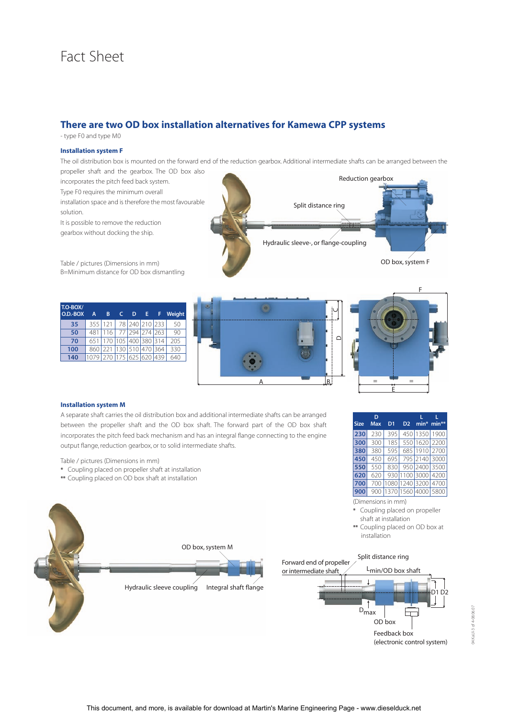## Fact Sheet

### **There are two OD box installation alternatives for Kamewa CPP systems**

- type F0 and type M0

#### **Installation system F**

The oil distribution box is mounted on the forward end of the reduction gearbox. Additional intermediate shafts can be arranged between the

propeller shaft and the gearbox. The OD box also incorporates the pitch feed back system. Type F0 requires the minimum overall installation space and is therefore the most favourable solution.

It is possible to remove the reduction gearbox without docking the ship.

Table / pictures (Dimensions in mm) B=Minimum distance for OD box dismantling





Hydraulic sleeve-, or flange-coupling

 $\mathop{\Box}$ 

Split distance ring



OD box, system F

Reduction gearbox

#### **Installation system M**

A separate shaft carries the oil distribution box and additional intermediate shafts can be arranged between the propeller shaft and the OD box shaft. The forward part of the OD box shaft incorporates the pitch feed back mechanism and has an integral flange connecting to the engine output flange, reduction gearbox, or to solid intermediate shafts.

Table / pictures (Dimensions in mm)

- **\*** Coupling placed on propeller shaft at installation
- **\*\*** Coupling placed on OD box shaft at installation



(Dimensions in mm)

**\*** Coupling placed on propeller shaft at installation

**\*\*** Coupling placed on OD box at installation



(electronic control system)

D2

D1